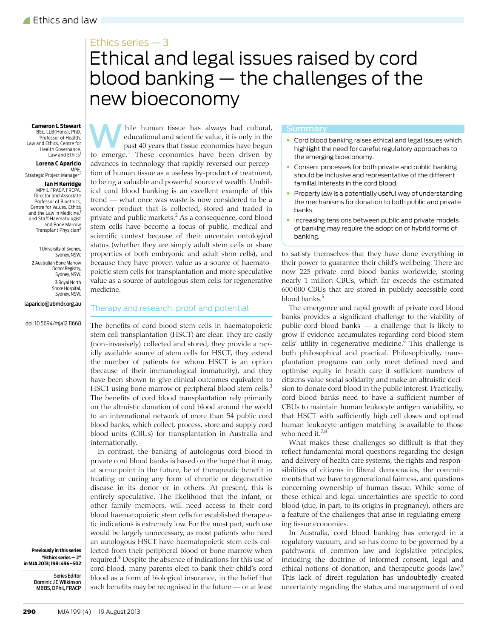# Ethics series — 3

# <span id="page-0-0"></span>Ethical and legal issues raised by cord blood banking — the challenges of the new bioeconomy

**Cameron L Stewart**<br> **BEC, LLB(Hons), PhD,<br>
Professor of Health,<br>
wand Ethics, Centre for<br>
Health Governance,** BEc, LLB(Hons), PhD, Professor of Health, Law and Ethics, Centre for Health Governance, Law and Ethics<sup>1</sup>

#### **Lorena C Aparicio** MPE,

Strategic Project Manager<sup>2</sup>

**Ian H Kerridge** MPhil, FRACP, FRCPA, Director and Associate Professor of Bioethics, Centre for Values, Ethics and the Law in Medicine, and Staff Haematologist and Bone Marrow Transplant Physician<sup>3</sup>

1 University of Sydney, Sydney, NSW. 2 Australian Bone Marrow Donor Registry, Sydney, NSW. 3 Royal North Shore Hospital Sydney, NSW.

laparicio@abmdr.org.au

doi: 10.5694/mja12.11668

hile human tissue has always had cultural, educational and scientific value, it is only in the past 40 years that tissue economies have begun to emerge. $^1$  $^1$  These economies have been driven by advances in technology that rapidly reversed our perception of human tissue as a useless by-product of treatment, to being a valuable and powerful source of wealth. Umbilical cord blood banking is an excellent example of this trend — what once was waste is now considered to be a wonder product that is collected, stored and traded in private and public markets.<sup>2</sup> As a consequence, cord blood stem cells have become a focus of public, medical and scientific contest because of their uncertain ontological status (whether they are simply adult stem cells or share properties of both embryonic and adult stem cells), and because they have proven value as a source of haematopoietic stem cells for transplantation and more speculative value as a source of autologous stem cells for regenerative medicine.

#### Therapy and research: proof and potential

The benefits of cord blood stem cells in haematopoietic stem cell transplantation (HSCT) are clear. They are easily (non-invasively) collected and stored, they provide a rapidly available source of stem cells for HSCT, they extend the number of patients for whom HSCT is an option (because of their immunological immaturity), and they have been shown to give clinical outcomes equivalent to HSCT using bone marrow or peripheral blood stem cells.<sup>[3](#page-2-2)</sup> The benefits of cord blood transplantation rely primarily on the altruistic donation of cord blood around the world to an international network of more than 54 public cord blood banks, which collect, process, store and supply cord blood units (CBUs) for transplantation in Australia and internationally.

tic indications is extremely low. For the most part, such use would be largely unnecessary, as most patients who need would be hagery unnecessary, as most patients who heed<br>an autologous HSCT have haematopoietic stem cells colwww.mja.com.au **Previously in this series** Ethics and Law **in MJA 2013; 198: 496–502**In contrast, the banking of autologous cord blood in private cord blood banks is based on the hope that it may, at some point in the future, be of therapeutic benefit in treating or curing any form of chronic or degenerative disease in its donor or in others. At present, this is entirely speculative. The likelihood that the infant, or other family members, will need access to their cord blood haematopoietic stem cells for established therapeulected from their peripheral blood or bone marrow when required.<sup>[4](#page-2-3)</sup> Despite the absence of indications for this use of cord blood, many parents elect to bank their child's cord blood as a form of biological insurance, in the belief that such benefits may be recognised in the future — or at least

#### **Summary**

- Cord blood banking raises ethical and legal issues which highlight the need for careful regulatory approaches to the emerging bioeconomy.
- Consent processes for both private and public banking should be inclusive and representative of the different familial interests in the cord blood.
- Property law is a potentially useful way of understanding the mechanisms for donation to both public and private banks.
- Increasing tensions between public and private models of banking may require the adoption of hybrid forms of banking.

to satisfy themselves that they have done everything in their power to guarantee their child's wellbeing. There are now 225 private cord blood banks worldwide, storing nearly 1 million CBUs, which far exceeds the estimated 600 000 CBUs that are stored in publicly accessible cord blood banks.<sup>[5](#page-2-4)</sup>

The emergence and rapid growth of private cord blood banks provides a significant challenge to the viability of public cord blood banks — a challenge that is likely to grow if evidence accumulates regarding cord blood stem cells' utility in regenerative medicine.<sup>[6](#page-2-5)</sup> This challenge is both philosophical and practical. Philosophically, transplantation programs can only meet defined need and optimise equity in health care if sufficient numbers of citizens value social solidarity and make an altruistic decision to donate cord blood in the public interest. Practically, cord blood banks need to have a sufficient number of CBUs to maintain human leukocyte antigen variability, so that HSCT with sufficiently high cell doses and optimal human leukocyte antigen matching is available to those who need it. $7,8$  $7,8$  $7,8$ 

What makes these challenges so difficult is that they reflect fundamental moral questions regarding the design and delivery of health care systems, the rights and responsibilities of citizens in liberal democracies, the commitments that we have to generational fairness, and questions concerning ownership of human tissue. While some of these ethical and legal uncertainties are specific to cord blood (due, in part, to its origins in pregnancy), others are a feature of the challenges that arise in regulating emerging tissue economies.

In Australia, cord blood banking has emerged in a regulatory vacuum, and so has come to be governed by a patchwork of common law and legislative principles, including the doctrine of informed consent, legal and ethical notions of donation, and therapeutic goods law.<sup>[9](#page-2-8)</sup> This lack of direct regulation has undoubtedly created uncertainty regarding the status and management of cord

Series Editor Dominic JC Wilkinson MBBS, DPhil, FRACP

**"Ethics series — 2"**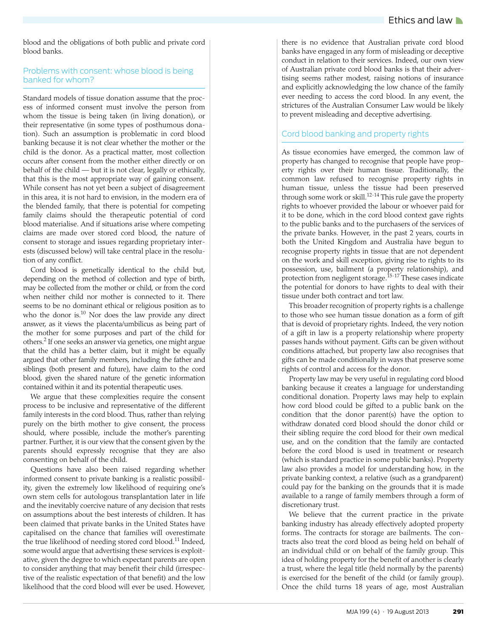blood and the obligations of both public and private cord blood banks.

### Problems with consent: whose blood is being banked for whom?

Standard models of tissue donation assume that the process of informed consent must involve the person from whom the tissue is being taken (in living donation), or their representative (in some types of posthumous donation). Such an assumption is problematic in cord blood banking because it is not clear whether the mother or the child is the donor. As a practical matter, most collection occurs after consent from the mother either directly or on behalf of the child — but it is not clear, legally or ethically, that this is the most appropriate way of gaining consent. While consent has not yet been a subject of disagreement in this area, it is not hard to envision, in the modern era of the blended family, that there is potential for competing family claims should the therapeutic potential of cord blood materialise. And if situations arise where competing claims are made over stored cord blood, the nature of consent to storage and issues regarding proprietary interests (discussed below) will take central place in the resolution of any conflict.

Cord blood is genetically identical to the child but, depending on the method of collection and type of birth, may be collected from the mother or child, or from the cord when neither child nor mother is connected to it. There seems to be no dominant ethical or religious position as to who the donor is.<sup>10</sup> Nor does the law provide any direct answer, as it views the placenta/umbilicus as being part of the mother for some purposes and part of the child for others.<sup>[2](#page-2-1)</sup> If one seeks an answer via genetics, one might argue that the child has a better claim, but it might be equally argued that other family members, including the father and siblings (both present and future), have claim to the cord blood, given the shared nature of the genetic information contained within it and its potential therapeutic uses.

We argue that these complexities require the consent process to be inclusive and representative of the different family interests in the cord blood. Thus, rather than relying purely on the birth mother to give consent, the process should, where possible, include the mother's parenting partner. Further, it is our view that the consent given by the parents should expressly recognise that they are also consenting on behalf of the child.

Questions have also been raised regarding whether informed consent to private banking is a realistic possibility, given the extremely low likelihood of requiring one's own stem cells for autologous transplantation later in life and the inevitably coercive nature of any decision that rests on assumptions about the best interests of children. It has been claimed that private banks in the United States have capitalised on the chance that families will overestimate the true likelihood of needing stored cord blood.<sup>11</sup> Indeed, some would argue that advertising these services is exploitative, given the degree to which expectant parents are open to consider anything that may benefit their child (irrespective of the realistic expectation of that benefit) and the low likelihood that the cord blood will ever be used. However,

there is no evidence that Australian private cord blood banks have engaged in any form of misleading or deceptive conduct in relation to their services. Indeed, our own view of Australian private cord blood banks is that their advertising seems rather modest, raising notions of insurance and explicitly acknowledging the low chance of the family ever needing to access the cord blood. In any event, the strictures of the Australian Consumer Law would be likely to prevent misleading and deceptive advertising.

#### Cord blood banking and property rights

As tissue economies have emerged, the common law of property has changed to recognise that people have property rights over their human tissue. Traditionally, the common law refused to recognise property rights in human tissue, unless the tissue had been preserved through some work or skill. $^{12\textrm{--}14}$  This rule gave the property rights to whoever provided the labour or whoever paid for it to be done, which in the cord blood context gave rights to the public banks and to the purchasers of the services of the private banks. However, in the past 2 years, courts in both the United Kingdom and Australia have begun to recognise property rights in tissue that are not dependent on the work and skill exception, giving rise to rights to its possession, use, bailment (a property relationship), and protection from negligent storage.<sup>[15-](#page-2-14)17</sup> These cases indicate the potential for donors to have rights to deal with their tissue under both contract and tort law.

This broader recognition of property rights is a challenge to those who see human tissue donation as a form of gift that is devoid of proprietary rights. Indeed, the very notion of a gift in law is a property relationship where property passes hands without payment. Gifts can be given without conditions attached, but property law also recognises that gifts can be made conditionally in ways that preserve some rights of control and access for the donor.

Property law may be very useful in regulating cord blood banking because it creates a language for understanding conditional donation. Property laws may help to explain how cord blood could be gifted to a public bank on the condition that the donor parent(s) have the option to withdraw donated cord blood should the donor child or their sibling require the cord blood for their own medical use, and on the condition that the family are contacted before the cord blood is used in treatment or research (which is standard practice in some public banks). Property law also provides a model for understanding how, in the private banking context, a relative (such as a grandparent) could pay for the banking on the grounds that it is made available to a range of family members through a form of discretionary trust.

We believe that the current practice in the private banking industry has already effectively adopted property forms. The contracts for storage are bailments. The contracts also treat the cord blood as being held on behalf of an individual child or on behalf of the family group. This idea of holding property for the benefit of another is clearly a trust, where the legal title (held normally by the parents) is exercised for the benefit of the child (or family group). Once the child turns 18 years of age, most Australian